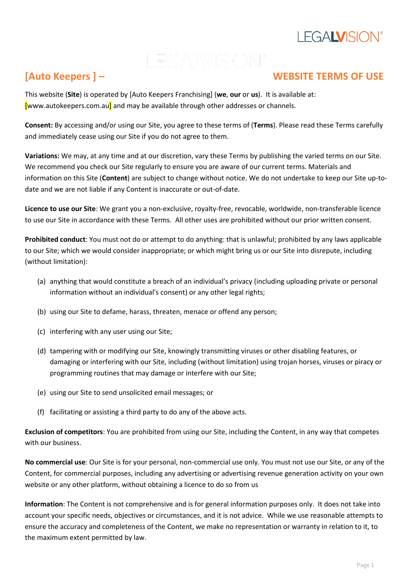## **LEGALVISION®**

LEGALVISION<sup>®</sup>

### **[Auto Keepers ] – WEBSITE TERMS OF USE**

This website (**Site**) is operated by [Auto Keepers Franchising] (**we**, **our** or **us**). It is available at: [www.autokeepers.com.au] and may be available through other addresses or channels.

**Consent:** By accessing and/or using our Site, you agree to these terms of (**Terms**). Please read these Terms carefully and immediately cease using our Site if you do not agree to them.

**Variations:** We may, at any time and at our discretion, vary these Terms by publishing the varied terms on our Site. We recommend you check our Site regularly to ensure you are aware of our current terms. Materials and information on this Site (**Content**) are subject to change without notice. We do not undertake to keep our Site up-todate and we are not liable if any Content is inaccurate or out-of-date.

**Licence to use our Site**: We grant you a non-exclusive, royalty-free, revocable, worldwide, non-transferable licence to use our Site in accordance with these Terms. All other uses are prohibited without our prior written consent.

**Prohibited conduct**: You must not do or attempt to do anything: that is unlawful; prohibited by any laws applicable to our Site; which we would consider inappropriate; or which might bring us or our Site into disrepute, including (without limitation):

- (a) anything that would constitute a breach of an individual's privacy (including uploading private or personal information without an individual's consent) or any other legal rights;
- (b) using our Site to defame, harass, threaten, menace or offend any person;
- (c) interfering with any user using our Site;
- (d) tampering with or modifying our Site, knowingly transmitting viruses or other disabling features, or damaging or interfering with our Site, including (without limitation) using trojan horses, viruses or piracy or programming routines that may damage or interfere with our Site;
- (e) using our Site to send unsolicited email messages; or
- (f) facilitating or assisting a third party to do any of the above acts.

**Exclusion of competitors**: You are prohibited from using our Site, including the Content, in any way that competes with our business.

**No commercial use**: Our Site is for your personal, non-commercial use only. You must not use our Site, or any of the Content, for commercial purposes, including any advertising or advertising revenue generation activity on your own website or any other platform, without obtaining a licence to do so from us

**Information**: The Content is not comprehensive and is for general information purposes only. It does not take into account your specific needs, objectives or circumstances, and it is not advice. While we use reasonable attempts to ensure the accuracy and completeness of the Content, we make no representation or warranty in relation to it, to the maximum extent permitted by law.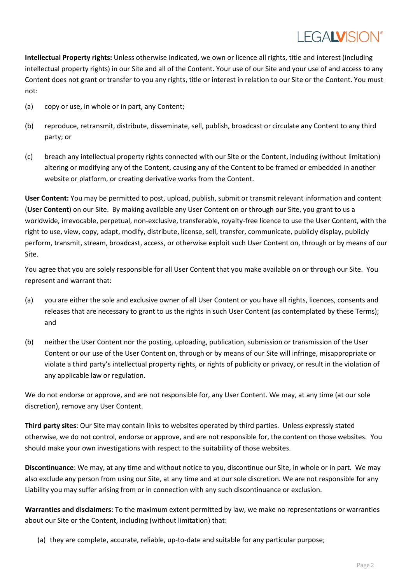## I FGALVISION®

**Intellectual Property rights:** Unless otherwise indicated, we own or licence all rights, title and interest (including intellectual property rights) in our Site and all of the Content. Your use of our Site and your use of and access to any Content does not grant or transfer to you any rights, title or interest in relation to our Site or the Content. You must not:

- (a) copy or use, in whole or in part, any Content;
- (b) reproduce, retransmit, distribute, disseminate, sell, publish, broadcast or circulate any Content to any third party; or
- (c) breach any intellectual property rights connected with our Site or the Content, including (without limitation) altering or modifying any of the Content, causing any of the Content to be framed or embedded in another website or platform, or creating derivative works from the Content.

**User Content:** You may be permitted to post, upload, publish, submit or transmit relevant information and content (**User Content**) on our Site. By making available any User Content on or through our Site, you grant to us a worldwide, irrevocable, perpetual, non-exclusive, transferable, royalty-free licence to use the User Content, with the right to use, view, copy, adapt, modify, distribute, license, sell, transfer, communicate, publicly display, publicly perform, transmit, stream, broadcast, access, or otherwise exploit such User Content on, through or by means of our Site.

You agree that you are solely responsible for all User Content that you make available on or through our Site. You represent and warrant that:

- (a) you are either the sole and exclusive owner of all User Content or you have all rights, licences, consents and releases that are necessary to grant to us the rights in such User Content (as contemplated by these Terms); and
- (b) neither the User Content nor the posting, uploading, publication, submission or transmission of the User Content or our use of the User Content on, through or by means of our Site will infringe, misappropriate or violate a third party's intellectual property rights, or rights of publicity or privacy, or result in the violation of any applicable law or regulation.

We do not endorse or approve, and are not responsible for, any User Content. We may, at any time (at our sole discretion), remove any User Content.

**Third party sites**: Our Site may contain links to websites operated by third parties. Unless expressly stated otherwise, we do not control, endorse or approve, and are not responsible for, the content on those websites. You should make your own investigations with respect to the suitability of those websites.

**Discontinuance**: We may, at any time and without notice to you, discontinue our Site, in whole or in part. We may also exclude any person from using our Site, at any time and at our sole discretion. We are not responsible for any Liability you may suffer arising from or in connection with any such discontinuance or exclusion.

**Warranties and disclaimers**: To the maximum extent permitted by law, we make no representations or warranties about our Site or the Content, including (without limitation) that:

(a) they are complete, accurate, reliable, up-to-date and suitable for any particular purpose;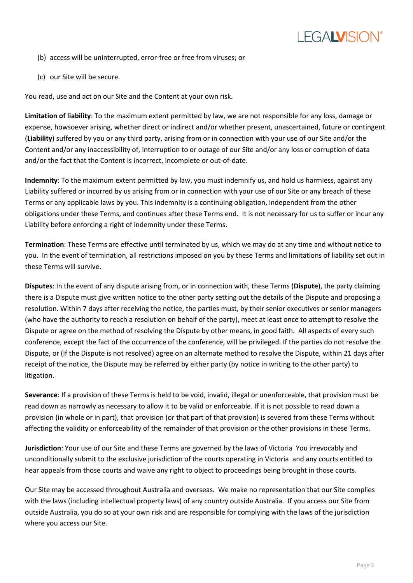

- (b) access will be uninterrupted, error-free or free from viruses; or
- (c) our Site will be secure.

You read, use and act on our Site and the Content at your own risk.

**Limitation of liability**: To the maximum extent permitted by law, we are not responsible for any loss, damage or expense, howsoever arising, whether direct or indirect and/or whether present, unascertained, future or contingent (**Liability**) suffered by you or any third party, arising from or in connection with your use of our Site and/or the Content and/or any inaccessibility of, interruption to or outage of our Site and/or any loss or corruption of data and/or the fact that the Content is incorrect, incomplete or out-of-date.

**Indemnity**: To the maximum extent permitted by law, you must indemnify us, and hold us harmless, against any Liability suffered or incurred by us arising from or in connection with your use of our Site or any breach of these Terms or any applicable laws by you. This indemnity is a continuing obligation, independent from the other obligations under these Terms, and continues after these Terms end. It is not necessary for us to suffer or incur any Liability before enforcing a right of indemnity under these Terms.

**Termination**: These Terms are effective until terminated by us, which we may do at any time and without notice to you. In the event of termination, all restrictions imposed on you by these Terms and limitations of liability set out in these Terms will survive.

**Disputes**: In the event of any dispute arising from, or in connection with, these Terms (**Dispute**), the party claiming there is a Dispute must give written notice to the other party setting out the details of the Dispute and proposing a resolution. Within 7 days after receiving the notice, the parties must, by their senior executives or senior managers (who have the authority to reach a resolution on behalf of the party), meet at least once to attempt to resolve the Dispute or agree on the method of resolving the Dispute by other means, in good faith. All aspects of every such conference, except the fact of the occurrence of the conference, will be privileged. If the parties do not resolve the Dispute, or (if the Dispute is not resolved) agree on an alternate method to resolve the Dispute, within 21 days after receipt of the notice, the Dispute may be referred by either party (by notice in writing to the other party) to litigation.

**Severance**: If a provision of these Terms is held to be void, invalid, illegal or unenforceable, that provision must be read down as narrowly as necessary to allow it to be valid or enforceable. If it is not possible to read down a provision (in whole or in part), that provision (or that part of that provision) is severed from these Terms without affecting the validity or enforceability of the remainder of that provision or the other provisions in these Terms.

**Jurisdiction**: Your use of our Site and these Terms are governed by the laws of Victoria You irrevocably and unconditionally submit to the exclusive jurisdiction of the courts operating in Victoria and any courts entitled to hear appeals from those courts and waive any right to object to proceedings being brought in those courts.

Our Site may be accessed throughout Australia and overseas. We make no representation that our Site complies with the laws (including intellectual property laws) of any country outside Australia. If you access our Site from outside Australia, you do so at your own risk and are responsible for complying with the laws of the jurisdiction where you access our Site.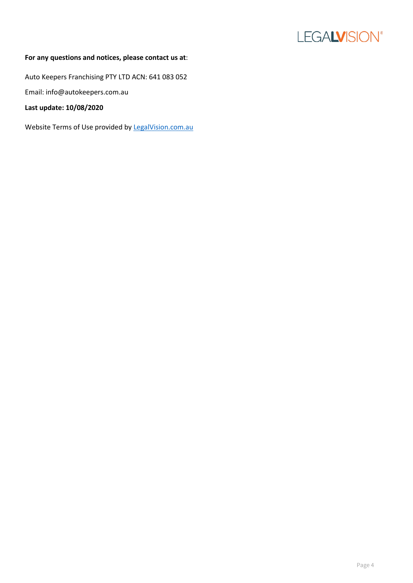

#### **For any questions and notices, please contact us at**:

Auto Keepers Franchising PTY LTD ACN: 641 083 052

Email: info@autokeepers.com.au

**Last update: 10/08/2020**

Website Terms of Use provided by [LegalVision.com.au](https://legalvision.com.au/)